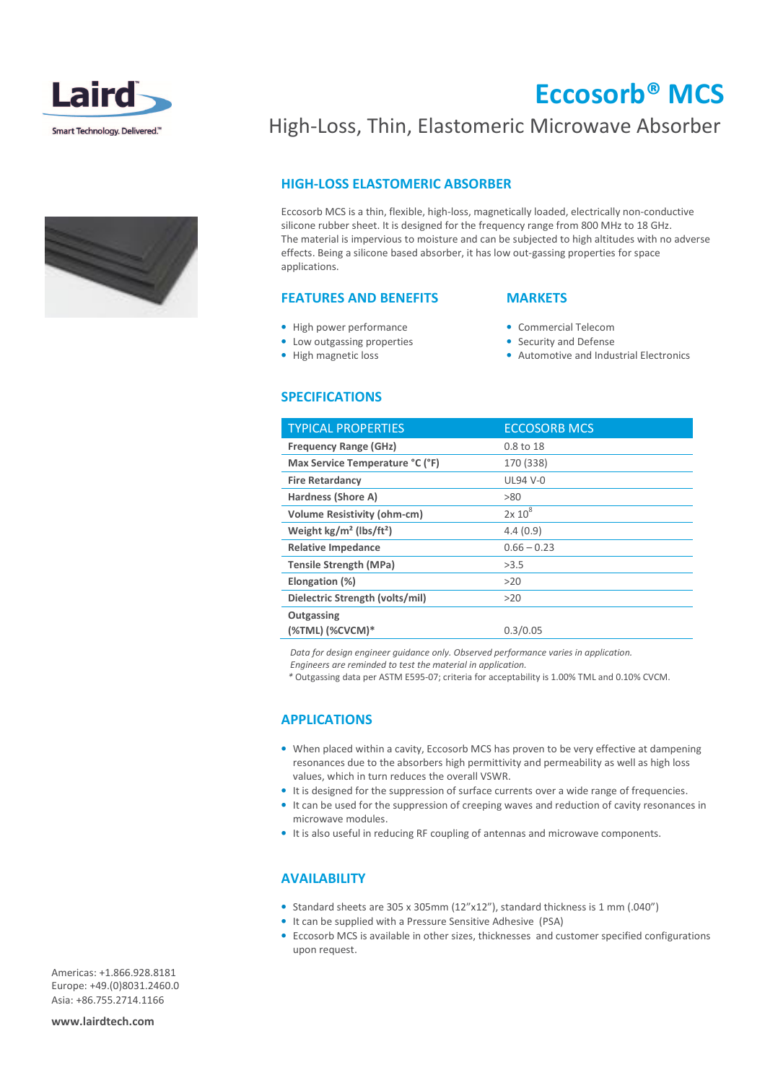



# Eccosorb® MCS

## High-Loss, Thin, Elastomeric Microwave Absorber

### HIGH-LOSS ELASTOMERIC ABSORBER

Eccosorb MCS is a thin, flexible, high-loss, magnetically loaded, electrically non-conductive silicone rubber sheet. It is designed for the frequency range from 800 MHz to 18 GHz. The material is impervious to moisture and can be subjected to high altitudes with no adverse effects. Being a silicone based absorber, it has low out-gassing properties for space applications.

#### FEATURES AND BENEFITS

## **MARKETS**

• Commercial Telecom • Security and Defense

• Automotive and Industrial Electronics

- High power performance
- Low outgassing properties
- High magnetic loss

#### SPECIFICATIONS

### TYPICAL PROPERTIES ECCOSORB MCS Frequency Range (GHz) 0.8 to 18 Max Service Temperature °C (°F) 170 (338) Fire Retardancy UL94 V-0 Hardness (Shore A)  $>80$ Volume Resistivity (ohm-cm)  $2x 10^8$ Weight kg/m<sup>2</sup> (lbs/ft<sup>2</sup>)  $4.4(0.9)$ Relative Impedance  $0.66 - 0.23$ Tensile Strength (MPa)  $>3.5$ Elongation (%)  $>20$ Dielectric Strength (volts/mil) >20 **Outgassing** (%TML) (%CVCM)\* 0.3/0.05

Data for design engineer guidance only. Observed performance varies in application.

Engineers are reminded to test the material in application.

\* Outgassing data per ASTM E595-07; criteria for acceptability is 1.00% TML and 0.10% CVCM.

#### APPLICATIONS

- When placed within a cavity, Eccosorb MCS has proven to be very effective at dampening resonances due to the absorbers high permittivity and permeability as well as high loss values, which in turn reduces the overall VSWR.
- It is designed for the suppression of surface currents over a wide range of frequencies.
- It can be used for the suppression of creeping waves and reduction of cavity resonances in microwave modules.
- It is also useful in reducing RF coupling of antennas and microwave components.

#### **AVAILABILITY**

- Standard sheets are 305 x 305mm (12"x12"), standard thickness is 1 mm (.040")
- It can be supplied with a Pressure Sensitive Adhesive (PSA)
- Eccosorb MCS is available in other sizes, thicknesses and customer specified configurations upon request.

Americas: +1.866.928.8181 Europe: +49.(0)8031.2460.0 Asia: +86.755.2714.1166

www.lairdtech.com